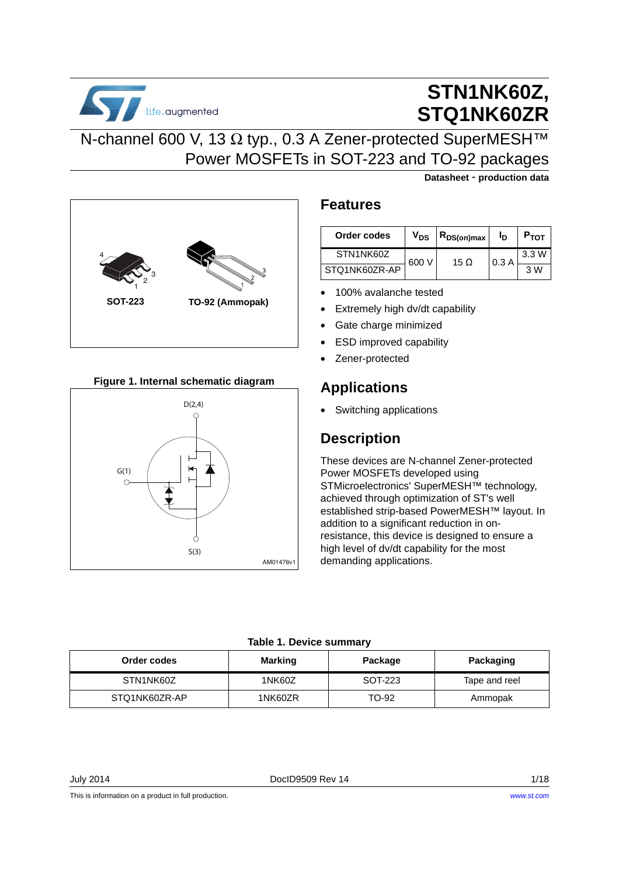

# **STN1NK60Z, STQ1NK60ZR**

**Datasheet** - **production data**

## N-channel 600 V, 13 Ω typ., 0.3 A Zener-protected SuperMESH™ Power MOSFETs in SOT-223 and TO-92 packages



### **Figure 1. Internal schematic diagram**



### **Features**

| Order codes   | $V_{DS}$ | ∣ R <sub>DS(on)max</sub> i | Ιŋ   | $P_{\text{TOT}}$ |
|---------------|----------|----------------------------|------|------------------|
| STN1NK60Z     | 600 V    | 15 O                       | 0.3A | 3.3W             |
| STO1NK60ZR-AP |          |                            |      | 3 W              |

- 100% avalanche tested
- Extremely high dv/dt capability
- Gate charge minimized
- **ESD improved capability**
- Zener-protected

## **Applications**

• Switching applications

## **Description**

These devices are N-channel Zener-protected Power MOSFETs developed using STMicroelectronics' SuperMESH™ technology, achieved through optimization of ST's well established strip-based PowerMESH™ layout. In addition to a significant reduction in onresistance, this device is designed to ensure a high level of dv/dt capability for the most demanding applications.

### **Table 1. Device summary**

<span id="page-0-0"></span>

| Order codes   | <b>Marking</b> | Package | Packaging     |
|---------------|----------------|---------|---------------|
| STN1NK60Z     | 1NK60Z         | SOT-223 | Tape and reel |
| STQ1NK60ZR-AP | 1NK60ZR        | TO-92   | Ammopak       |

July 2014 DocID9509 Rev 14 1/18

This is information on a product in full production.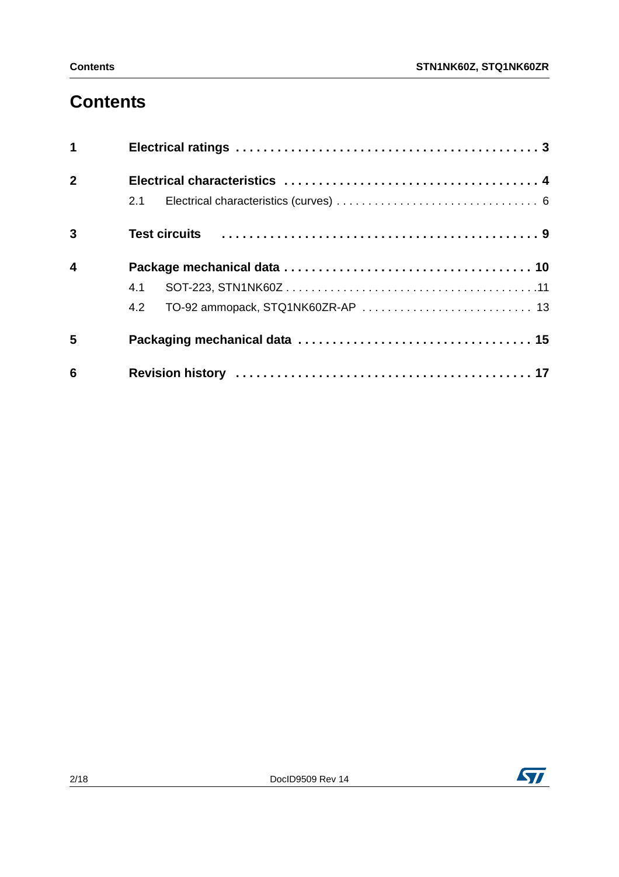# **Contents**

| $\overline{\mathbf{1}}$ |     |
|-------------------------|-----|
| $\overline{2}$          |     |
|                         | 2.1 |
| 3                       |     |
| $\overline{\mathbf{4}}$ |     |
|                         | 4.1 |
|                         | 4.2 |
| 5                       |     |
| 6                       |     |

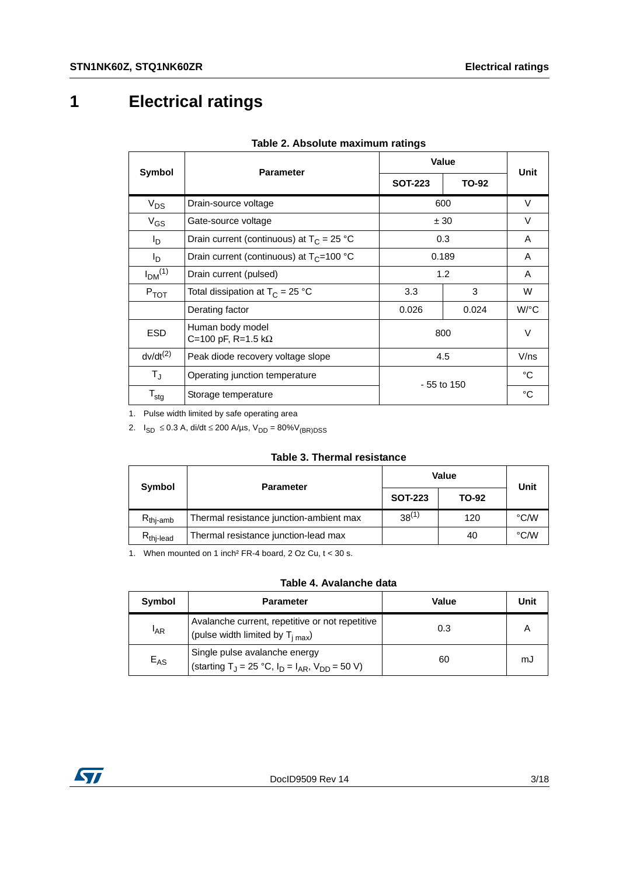# <span id="page-2-0"></span>**1 Electrical ratings**

<span id="page-2-1"></span>

| Symbol                         | <b>Parameter</b>                             | Value          |        | Unit                 |
|--------------------------------|----------------------------------------------|----------------|--------|----------------------|
|                                |                                              | <b>SOT-223</b> | TO-92  |                      |
| $V_{DS}$                       | Drain-source voltage                         | 600            |        | $\vee$               |
| $V_{GS}$                       | Gate-source voltage<br>± 30                  |                | $\vee$ |                      |
| l <sub>D</sub>                 | Drain current (continuous) at $T_C = 25 °C$  | 0.3            |        | A                    |
| $I_{\mathsf{D}}$               | Drain current (continuous) at $T_C = 100 °C$ | 0.189          |        | A                    |
| I <sub>DM</sub> <sup>(1)</sup> | Drain current (pulsed)                       | 1.2            |        | A                    |
| $P_{TOT}$                      | Total dissipation at $T_C = 25 °C$           | 3<br>3.3       |        | W                    |
|                                | Derating factor                              | 0.026          | 0.024  | $W$ <sup>o</sup> $C$ |
| <b>ESD</b>                     | Human body model<br>C=100 pF, R=1.5 kΩ       | 800            |        | $\vee$               |
| $dv/dt^{(2)}$                  | Peak diode recovery voltage slope            | 4.5            |        | V/ns                 |
| $T_{\rm J}$                    | Operating junction temperature               | $-55$ to 150   |        | °C                   |
| $\mathsf{T}_{\text{stg}}$      | Storage temperature                          |                |        | °C                   |

|  |  | Table 2. Absolute maximum ratings |  |
|--|--|-----------------------------------|--|
|--|--|-----------------------------------|--|

1. Pulse width limited by safe operating area

2.  $I_{SD}$  ≤ 0.3 A, di/dt ≤ 200 A/µs, V<sub>DD</sub> = 80%V<sub>(BR)DSS</sub>

### **Table 3. Thermal resistance**

| Symbol               | <b>Parameter</b>                        | <b>Value</b>   | Unit  |      |  |
|----------------------|-----------------------------------------|----------------|-------|------|--|
|                      |                                         | <b>SOT-223</b> | TO-92 |      |  |
| $R_{\text{thi-amb}}$ | Thermal resistance junction-ambient max | $38^{(1)}$     | 120   | °C/W |  |
| $R_{thi$ -lead       | Thermal resistance junction-lead max    |                | 40    | °C/W |  |

1. When mounted on 1 inch² FR-4 board, 2 Oz Cu, t < 30 s.

### **Table 4. Avalanche data**

| Symbol   | <b>Parameter</b>                                                                                     | Value | Unit |
|----------|------------------------------------------------------------------------------------------------------|-------|------|
| $I_{AR}$ | Avalanche current, repetitive or not repetitive<br>(pulse width limited by $T_{i max}$ )             | 0.3   |      |
| $E_{AS}$ | Single pulse avalanche energy<br>(starting T <sub>J</sub> = 25 °C, $I_D = I_{AR}$ , $V_{DD} = 50$ V) | 60    | mJ   |

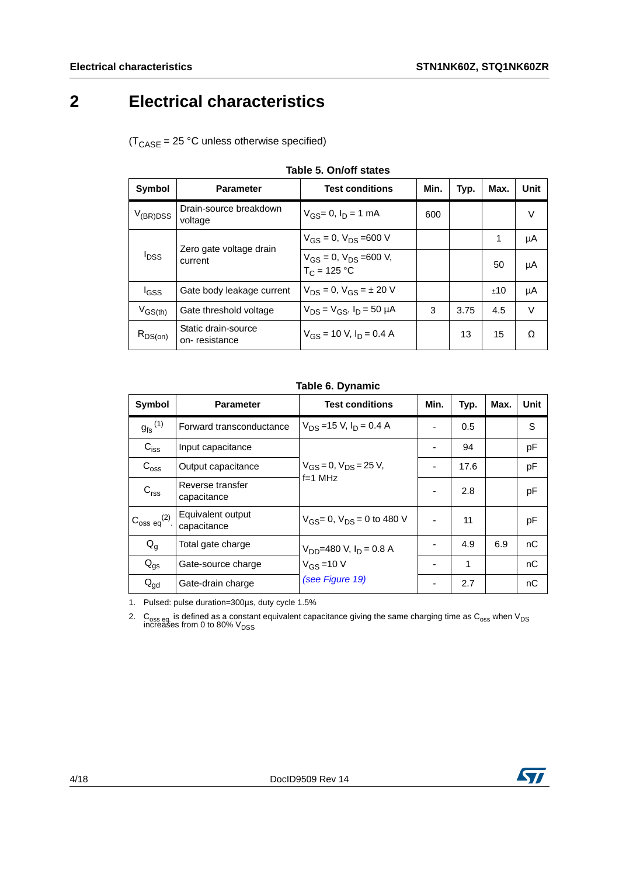# <span id="page-3-0"></span>**2 Electrical characteristics**

 $(T_{\text{CASE}} = 25 \text{ °C}$  unless otherwise specified)

| Symbol                             | <b>Parameter</b>                     | <b>Test conditions</b>                             | Min. | Typ. | Max. | Unit   |
|------------------------------------|--------------------------------------|----------------------------------------------------|------|------|------|--------|
| $V_{(BR)DSS}$                      | Drain-source breakdown<br>voltage    | $V_{GS} = 0$ , $I_D = 1$ mA                        | 600  |      |      | V      |
| <b>I</b> <sub>DSS</sub><br>current |                                      | $V_{GS} = 0$ , $V_{DS} = 600$ V                    |      |      | 1    | μA     |
|                                    | Zero gate voltage drain              | $V_{GS} = 0$ , $V_{DS} = 600$ V,<br>$T_C = 125 °C$ |      |      | 50   | μA     |
| <b>I</b> GSS                       | Gate body leakage current            | $V_{DS} = 0$ , $V_{GS} = \pm 20$ V                 |      |      | ±10  | μA     |
| $V_{GS(th)}$                       | Gate threshold voltage               | $V_{DS} = V_{GS}$ , $I_D = 50 \mu A$               | 3    | 3.75 | 4.5  | $\vee$ |
| $R_{DS(on)}$                       | Static drain-source<br>on-resistance | $V_{GS}$ = 10 V, $I_D$ = 0.4 A                     |      | 13   | 15   | Ω      |

|  |  | Table 5, On/off states |  |
|--|--|------------------------|--|
|--|--|------------------------|--|

### **Table 6. Dynamic**

| Symbol                  | <b>Parameter</b>                 | <b>Test conditions</b>                       | Min.                     | Typ. | Max. | Unit |
|-------------------------|----------------------------------|----------------------------------------------|--------------------------|------|------|------|
| $g_{\text{fs}}^{(1)}$   | Forward transconductance         | $V_{DS}$ =15 V, $I_D$ = 0.4 A                | $\blacksquare$           | 0.5  |      | S    |
| $C_{\text{iss}}$        | Input capacitance                | $V_{GS} = 0$ , $V_{DS} = 25$ V,<br>$f=1$ MHz | ٠                        | 94   |      | pF   |
| $C_{\text{oss}}$        | Output capacitance               |                                              | $\blacksquare$           | 17.6 |      | pF   |
| C <sub>rss</sub>        | Reverse transfer<br>capacitance  |                                              | $\blacksquare$           | 2.8  |      | pF   |
| $C_{\rm oss\ eq}^{(2)}$ | Equivalent output<br>capacitance | $V_{GS} = 0$ , $V_{DS} = 0$ to 480 V         | $\blacksquare$           | 11   |      | pF   |
| $Q_g$                   | Total gate charge                | $V_{DD}$ =480 V, $I_D$ = 0.8 A               |                          | 4.9  | 6.9  | nC   |
| $Q_{\text{gs}}$         | Gate-source charge               | $V_{GS}$ = 10 V                              | $\overline{\phantom{a}}$ | 1    |      | nC   |
| $Q_{gd}$                | Gate-drain charge                | (see Figure 19)                              | ٠                        | 2.7  |      | nC   |

1. Pulsed: pulse duration=300µs, duty cycle 1.5%

2.  $\,$  C<sub>oss eq.</sub> is defined as a constant equivalent capacitance giving the same charging time as C<sub>oss</sub> when V<sub>DS</sub><br>increases from 0 to 80% V<sub>DSS</sub>

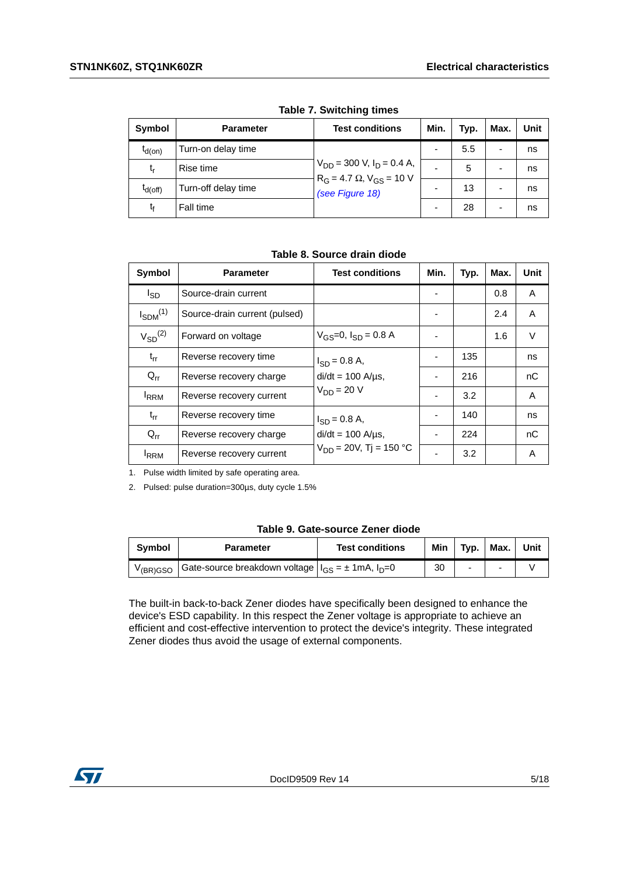| Symbol       | <b>Parameter</b>    | <b>Test conditions</b>                                                                      | Min.                     | Typ. | Max. | Unit |  |
|--------------|---------------------|---------------------------------------------------------------------------------------------|--------------------------|------|------|------|--|
| $t_{d(on)}$  | Turn-on delay time  | $V_{DD}$ = 300 V, $I_D$ = 0.4 A,<br>$R_G = 4.7 \Omega$ , $V_{GS} = 10 V$<br>(see Figure 18) |                          | 5.5  | -    | ns   |  |
| t,           | Rise time           |                                                                                             | $\overline{\phantom{0}}$ | 5    |      | ns   |  |
| $I_{d(Off)}$ | Turn-off delay time |                                                                                             |                          | 13   |      | ns   |  |
| tŗ           | Fall time           |                                                                                             |                          | 28   | -    | ns   |  |

**Table 7. Switching times**

**Table 8. Source drain diode**

| Symbol          | <b>Parameter</b>              | <b>Test conditions</b>          | Min. | Typ. | Max. | Unit   |
|-----------------|-------------------------------|---------------------------------|------|------|------|--------|
| l <sub>SD</sub> | Source-drain current          |                                 |      |      | 0.8  | A      |
| $I_{SDM}^{(1)}$ | Source-drain current (pulsed) |                                 |      |      | 2.4  | A      |
| $V_{SD}^{(2)}$  | Forward on voltage            | $V_{GS} = 0$ , $I_{SD} = 0.8$ A |      |      | 1.6  | $\vee$ |
| $t_{rr}$        | Reverse recovery time         | $I_{SD} = 0.8 A$ ,              |      | 135  |      | ns     |
| $Q_{rr}$        | Reverse recovery charge       | $di/dt = 100$ A/ $\mu$ s,       |      | 216  |      | nC     |
| <b>IRRM</b>     | Reverse recovery current      | $V_{DD} = 20 V$                 |      | 3.2  |      | A      |
| $t_{rr}$        | Reverse recovery time         | $I_{SD} = 0.8 A$ ,              |      | 140  |      | ns     |
| $Q_{rr}$        | Reverse recovery charge       | $di/dt = 100$ A/ $\mu$ s,       |      | 224  |      | nC     |
| <b>IRRM</b>     | Reverse recovery current      | $V_{DD} = 20V$ , Tj = 150 °C    |      | 3.2  |      | A      |

1. Pulse width limited by safe operating area.

2. Pulsed: pulse duration=300µs, duty cycle 1.5%

|  | Table 9. Gate-source Zener diode |  |  |
|--|----------------------------------|--|--|
|--|----------------------------------|--|--|

| <b>Symbol</b>         | <b>Parameter</b>                                              | <b>Test conditions</b> | Min | Typ. | Max. | Unit |
|-----------------------|---------------------------------------------------------------|------------------------|-----|------|------|------|
| V <sub>(BR)</sub> GSO | Gate-source breakdown voltage $ I_{GS} = \pm 1$ mA, $I_D = 0$ |                        | 30  | -    |      |      |

The built-in back-to-back Zener diodes have specifically been designed to enhance the device's ESD capability. In this respect the Zener voltage is appropriate to achieve an efficient and cost-effective intervention to protect the device's integrity. These integrated Zener diodes thus avoid the usage of external components.

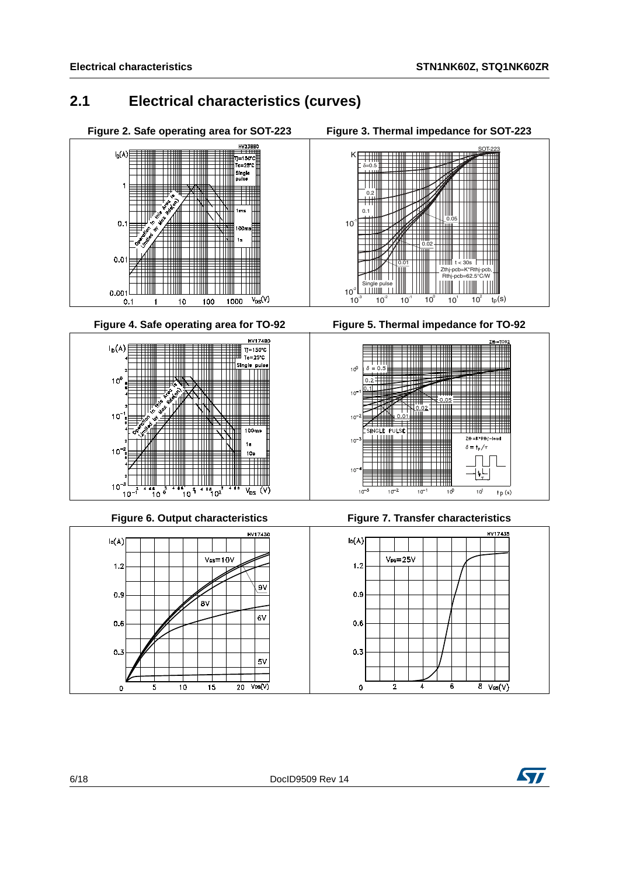## <span id="page-5-0"></span>**2.1 Electrical characteristics (curves)**

<span id="page-5-2"></span>





<span id="page-5-1"></span>

### Figure 6. Output characteristics



<span id="page-5-3"></span>







**Figure 7. Transfer characteristics** 



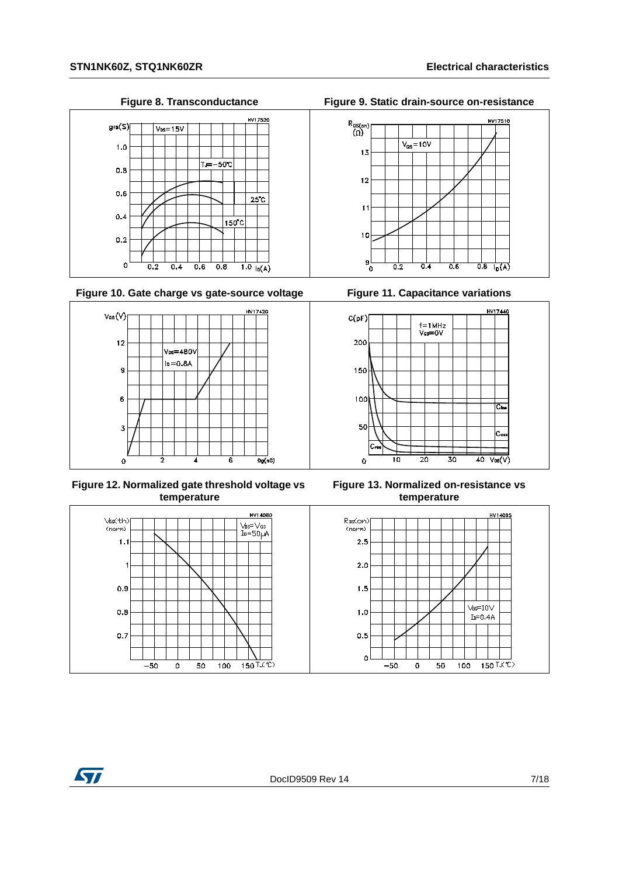

Figure 10. Gate charge vs gate-source voltage Figure 11. Capacitance variations



**Figure 12. Normalized gate threshold voltage vs temperature**



**Figure 8. Transconductance Figure 9. Static drain-source on-resistance**





**Figure 13. Normalized on-resistance vs temperature**



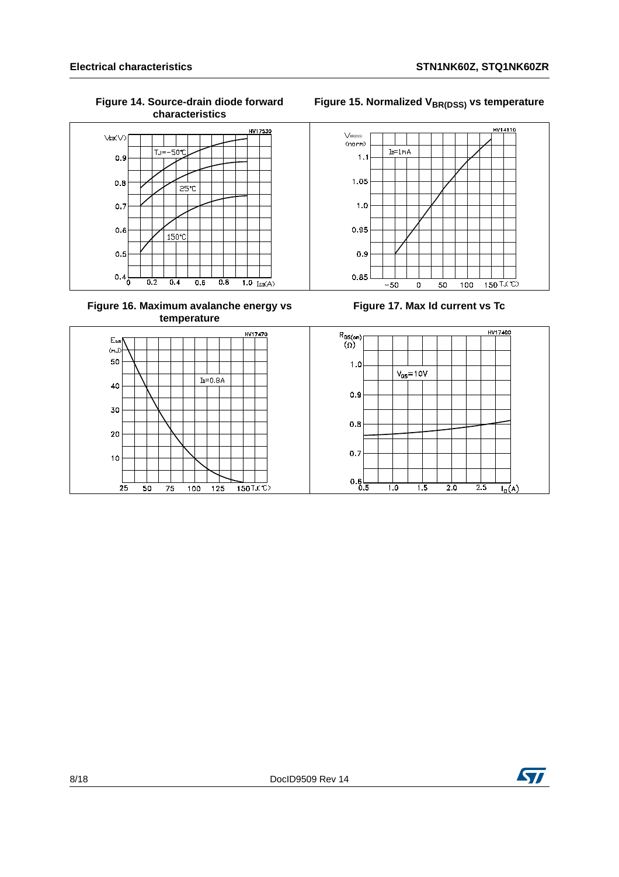

**Figure 16. Maximum avalanche energy vs temperature**







**Figure 17. Max Id current vs Tc**

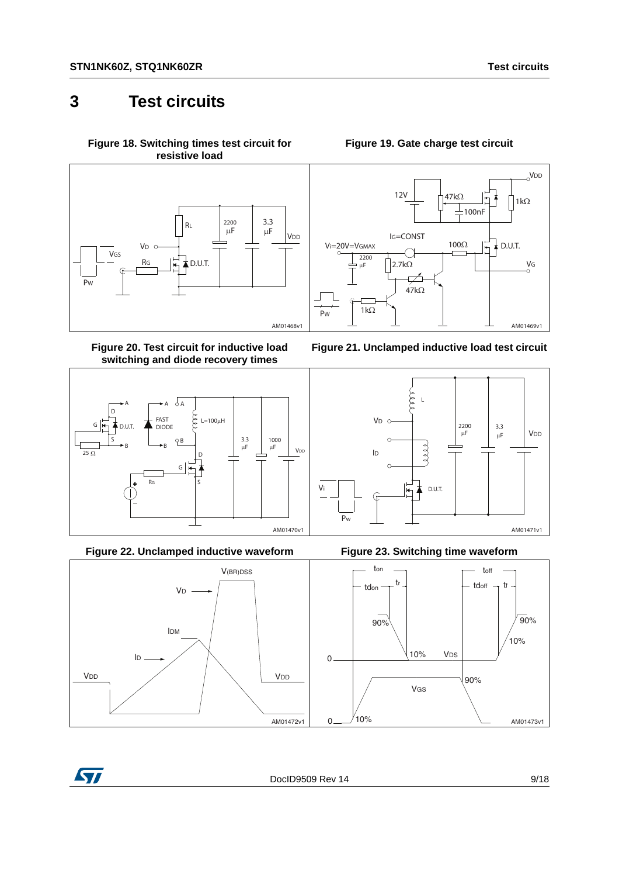## <span id="page-8-0"></span>**3 Test circuits**

<span id="page-8-2"></span>**Figure 18. Switching times test circuit for resistive load**



**Figure 20. Test circuit for inductive load switching and diode recovery times**



**Figure 22. Unclamped inductive waveform Figure 23. Switching time waveform**



### **Figure 19. Gate charge test circuit**

<span id="page-8-1"></span>









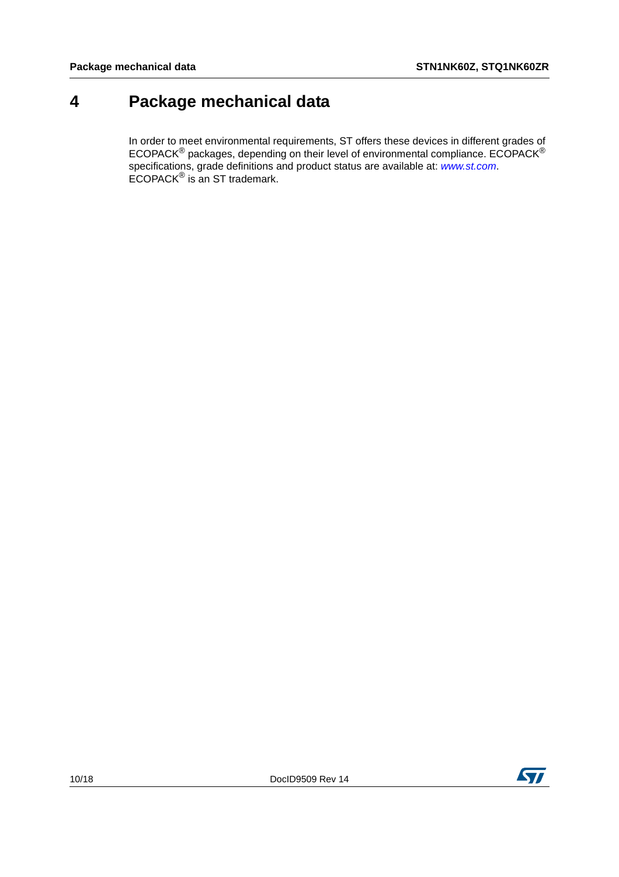# <span id="page-9-0"></span>**4 Package mechanical data**

In order to meet environmental requirements, ST offers these devices in different grades of ECOPACK $^{\circledR}$  packages, depending on their level of environmental compliance. ECOPACK $^{\circledR}$ specifications, grade definitions and product status are available at: *[www.st.com](http://www.st.com)*. ECOPACK® is an ST trademark.

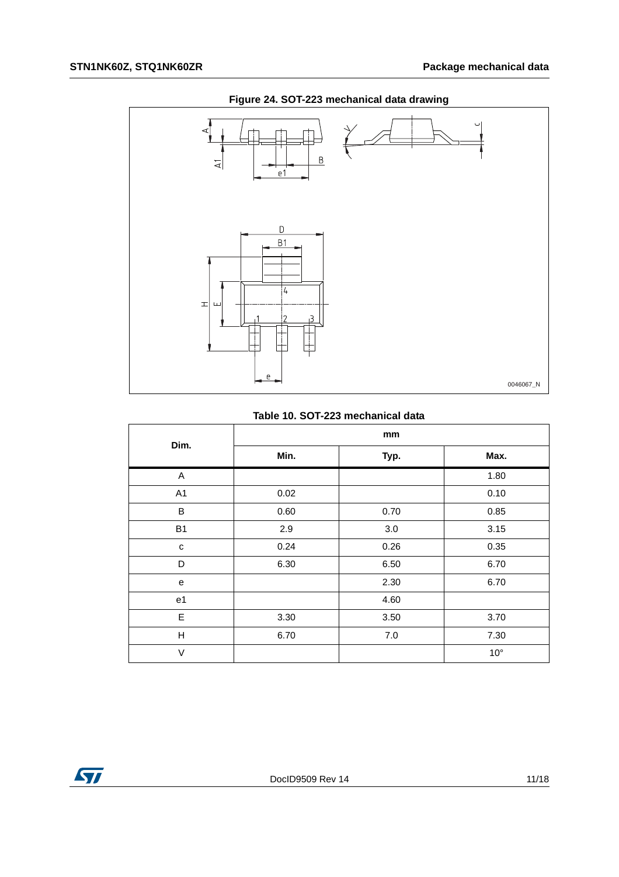

## **Figure 24. SOT-223 mechanical data drawing**

#### **Table 10. SOT-223 mechanical data**

| Dim.           | mm   |         |              |  |  |
|----------------|------|---------|--------------|--|--|
|                | Min. | Typ.    | Max.         |  |  |
| A              |      |         | 1.80         |  |  |
| A1             | 0.02 |         | 0.10         |  |  |
| B              | 0.60 | 0.70    | 0.85         |  |  |
| <b>B1</b>      | 2.9  | 3.0     | 3.15         |  |  |
| C              | 0.24 | 0.26    | 0.35         |  |  |
| D              | 6.30 | 6.50    | 6.70         |  |  |
| e              |      | 2.30    | 6.70         |  |  |
| e <sub>1</sub> |      | 4.60    |              |  |  |
| E              | 3.30 | 3.50    | 3.70         |  |  |
| H              | 6.70 | $7.0\,$ | 7.30         |  |  |
| V              |      |         | $10^{\circ}$ |  |  |

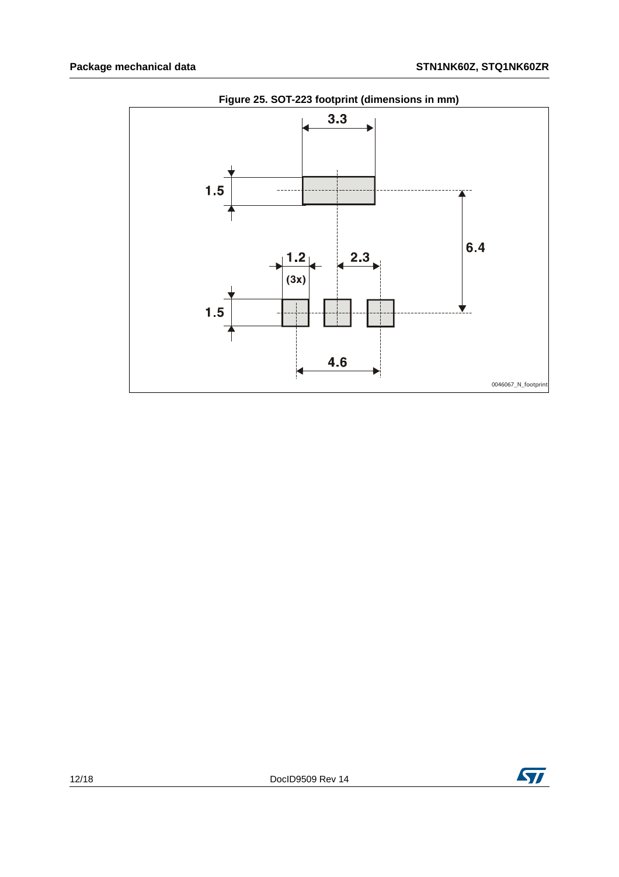

**Figure 25. SOT-223 footprint (dimensions in mm)**

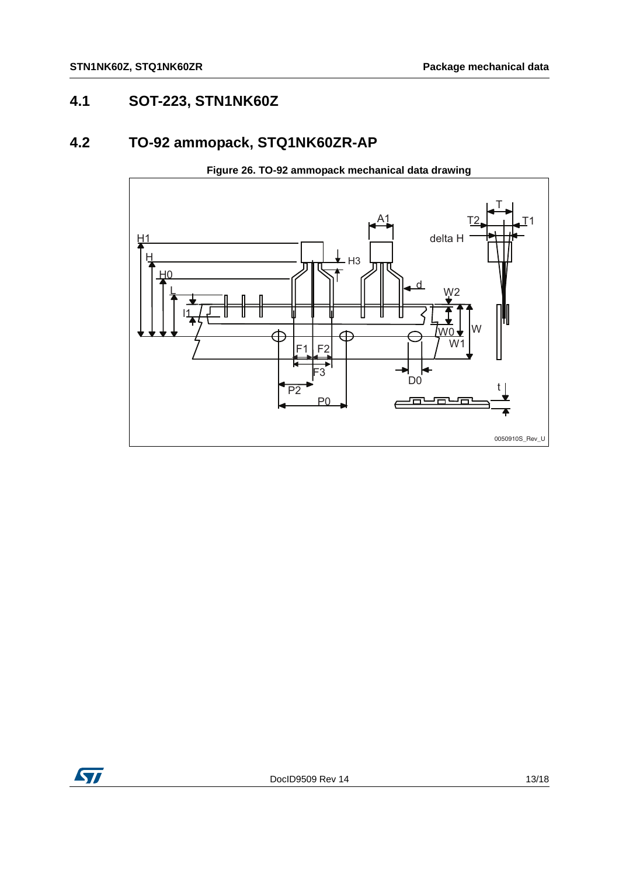## <span id="page-12-0"></span>**4.1 SOT-223, STN1NK60Z**

## <span id="page-12-1"></span>**4.2 TO-92 ammopack, STQ1NK60ZR-AP**



**Figure 26. TO-92 ammopack mechanical data drawing**

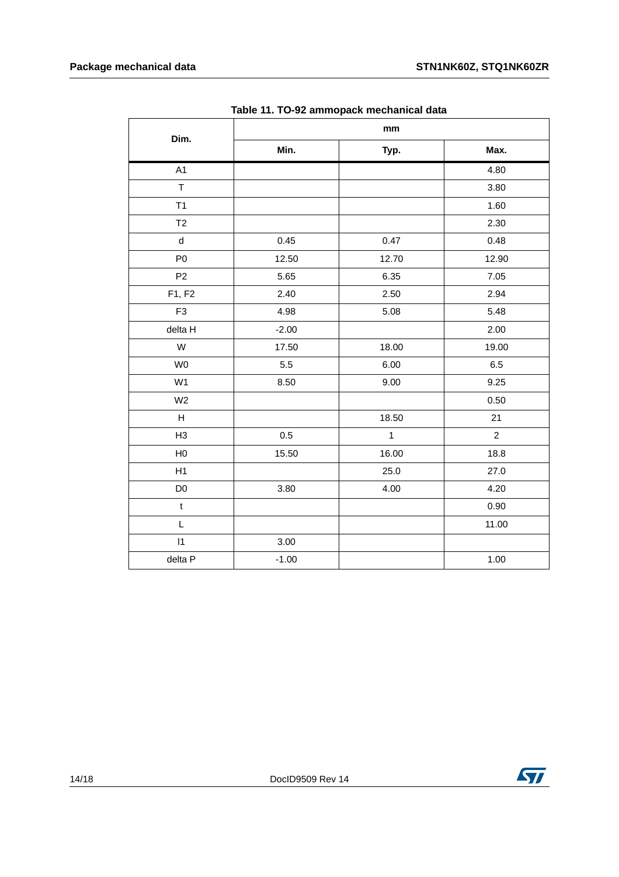| Dim.                        | .<br>- ת-<br>,<br>mm |              |                |  |  |
|-----------------------------|----------------------|--------------|----------------|--|--|
|                             |                      |              |                |  |  |
|                             | Min.                 | Typ.         | Max.           |  |  |
| A1                          |                      |              | 4.80           |  |  |
| $\top$                      |                      |              | 3.80           |  |  |
| T1                          |                      |              | 1.60           |  |  |
| T2                          |                      |              | 2.30           |  |  |
| $\operatorname{\mathsf{d}}$ | 0.45                 | 0.47         | 0.48           |  |  |
| P <sub>0</sub>              | 12.50                | 12.70        | 12.90          |  |  |
| P <sub>2</sub>              | 5.65                 | 6.35         | 7.05           |  |  |
| F1, F2                      | 2.40                 | 2.50         | 2.94           |  |  |
| F <sub>3</sub>              | 4.98                 | 5.08         | 5.48           |  |  |
| delta H                     | $-2.00$              |              | 2.00           |  |  |
| W                           | 17.50                | 18.00        | 19.00          |  |  |
| W <sub>0</sub>              | $5.5\,$              | 6.00         | 6.5            |  |  |
| W <sub>1</sub>              | 8.50                 | 9.00         | 9.25           |  |  |
| W <sub>2</sub>              |                      |              | 0.50           |  |  |
| $\boldsymbol{\mathsf{H}}$   |                      | 18.50        | 21             |  |  |
| H <sub>3</sub>              | 0.5                  | $\mathbf{1}$ | $\overline{2}$ |  |  |
| H <sub>0</sub>              | 15.50                | 16.00        | 18.8           |  |  |
| H1                          |                      | 25.0         | 27.0           |  |  |
| D <sub>0</sub>              | 3.80                 | 4.00         | 4.20           |  |  |
| $\mathsf t$                 |                      |              | 0.90           |  |  |
| L                           |                      |              | 11.00          |  |  |
| $\vert$ 1                   | 3.00                 |              |                |  |  |
| delta P                     | $-1.00$              |              | 1.00           |  |  |

**Table 11. TO-92 ammopack mechanical data**

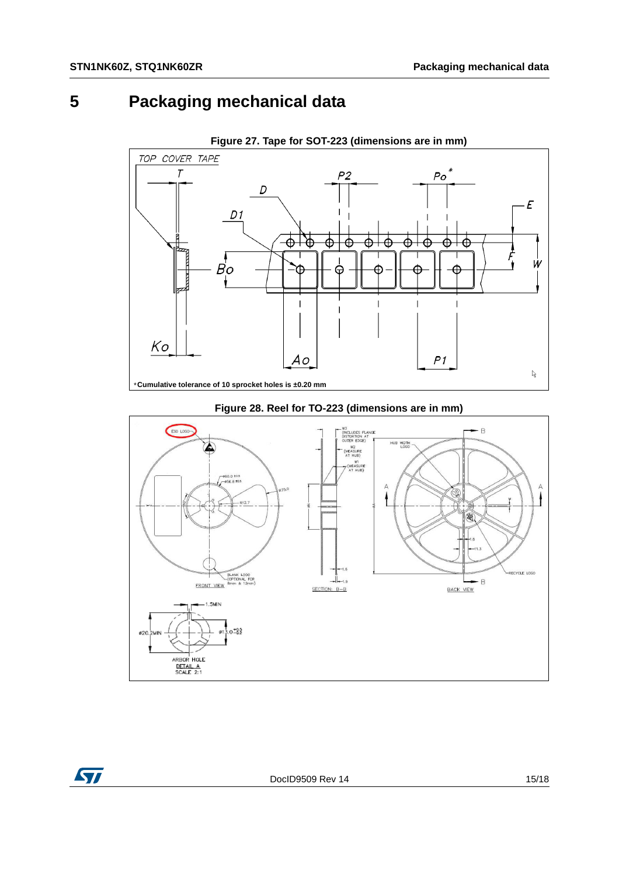## <span id="page-14-0"></span>**5 Packaging mechanical data**



**Figure 27. Tape for SOT-223 (dimensions are in mm)**



#### **Figure 28. Reel for TO-223 (dimensions are in mm)**

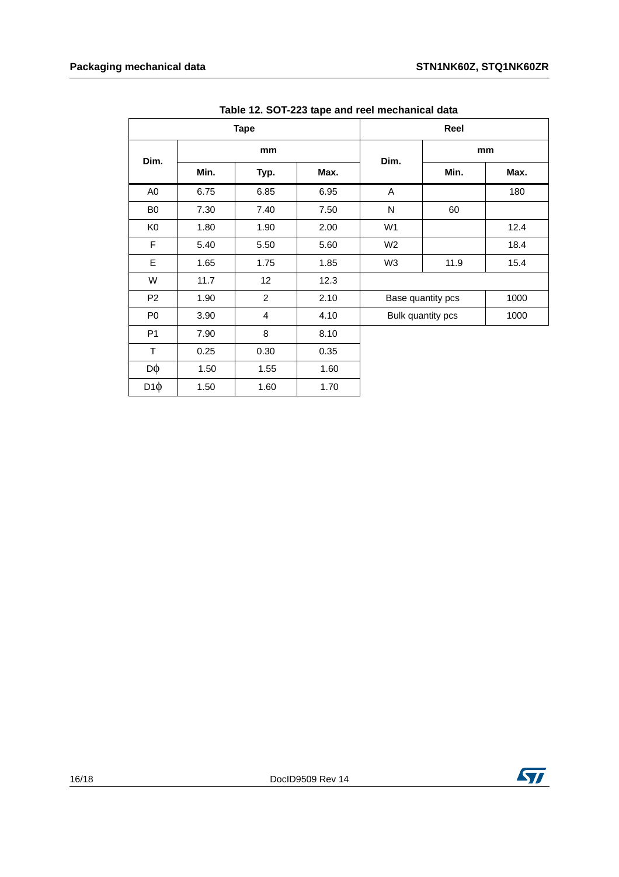| <b>Tape</b>    |      |                         | Reel |                |                   |      |
|----------------|------|-------------------------|------|----------------|-------------------|------|
| Dim.<br>Min.   | mm   |                         | Dim. | mm             |                   |      |
|                |      | Typ.                    | Max. |                | Min.              | Max. |
| A <sub>0</sub> | 6.75 | 6.85                    | 6.95 | A              |                   | 180  |
| B <sub>0</sub> | 7.30 | 7.40                    | 7.50 | N              | 60                |      |
| K <sub>0</sub> | 1.80 | 1.90                    | 2.00 | W <sub>1</sub> |                   | 12.4 |
| $\mathsf F$    | 5.40 | 5.50                    | 5.60 | W <sub>2</sub> |                   | 18.4 |
| E              | 1.65 | 1.75                    | 1.85 | W <sub>3</sub> | 11.9              | 15.4 |
| W              | 11.7 | 12                      | 12.3 |                |                   |      |
| P <sub>2</sub> | 1.90 | $\overline{2}$          | 2.10 |                | Base quantity pcs | 1000 |
| P <sub>0</sub> | 3.90 | $\overline{\mathbf{4}}$ | 4.10 |                | Bulk quantity pcs | 1000 |
| P <sub>1</sub> | 7.90 | 8                       | 8.10 |                |                   |      |
| T              | 0.25 | 0.30                    | 0.35 |                |                   |      |
| Dφ             | 1.50 | 1.55                    | 1.60 |                |                   |      |
| $D1\phi$       | 1.50 | 1.60                    | 1.70 |                |                   |      |

**Table 12. SOT-223 tape and reel mechanical data**

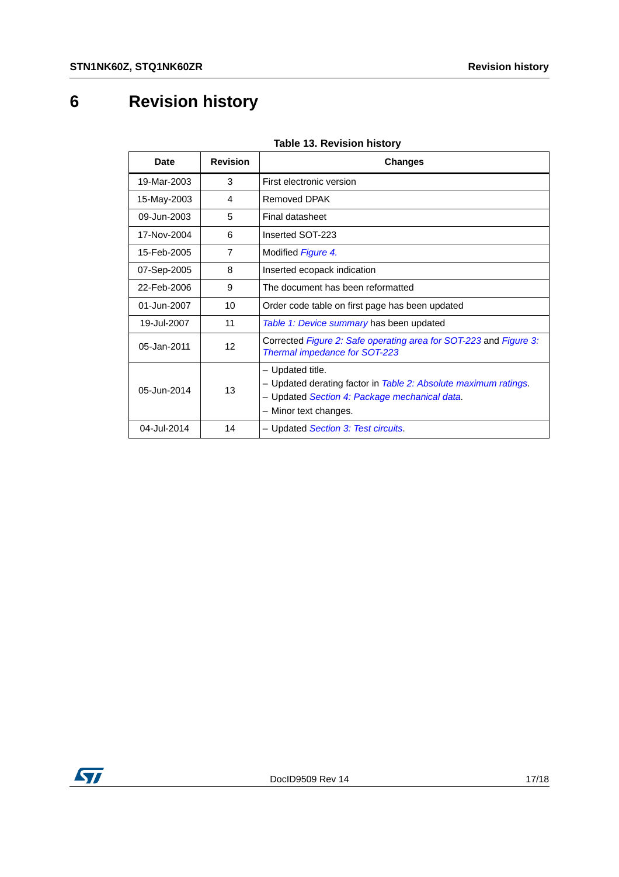# <span id="page-16-0"></span>**6 Revision history**

| ן ישוארו וושופוזיטו וטבר שומאו<br><b>Revision</b><br><b>Date</b> |                |                                                                                                                                                               |  |  |
|------------------------------------------------------------------|----------------|---------------------------------------------------------------------------------------------------------------------------------------------------------------|--|--|
|                                                                  |                | <b>Changes</b>                                                                                                                                                |  |  |
| 19-Mar-2003                                                      | 3              | First electronic version                                                                                                                                      |  |  |
| 15-May-2003                                                      | 4              | <b>Removed DPAK</b>                                                                                                                                           |  |  |
| 09-Jun-2003                                                      | 5              | Final datasheet                                                                                                                                               |  |  |
| 17-Nov-2004                                                      | 6              | Inserted SOT-223                                                                                                                                              |  |  |
| 15-Feb-2005                                                      | $\overline{7}$ | Modified Figure 4.                                                                                                                                            |  |  |
| 07-Sep-2005                                                      | 8              | Inserted ecopack indication                                                                                                                                   |  |  |
| 22-Feb-2006                                                      | 9              | The document has been reformatted                                                                                                                             |  |  |
| 01-Jun-2007                                                      | 10             | Order code table on first page has been updated                                                                                                               |  |  |
| 19-Jul-2007                                                      | 11             | Table 1: Device summary has been updated                                                                                                                      |  |  |
| 05-Jan-2011                                                      | 12             | Corrected Figure 2: Safe operating area for SOT-223 and Figure 3:<br>Thermal impedance for SOT-223                                                            |  |  |
| 05-Jun-2014                                                      | 13             | - Updated title.<br>- Updated derating factor in Table 2: Absolute maximum ratings.<br>- Updated Section 4: Package mechanical data.<br>- Minor text changes. |  |  |
| 04-Jul-2014                                                      | 14             | - Updated Section 3: Test circuits.                                                                                                                           |  |  |

### **Table 13. Revision history**